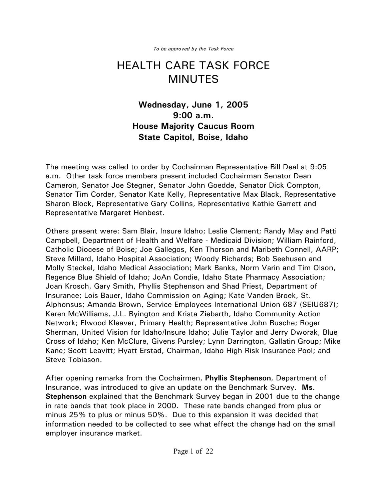*To be approved by the Task Force*

## HEALTH CARE TASK FORCE MINUTES

## **Wednesday, June 1, 2005 9:00 a.m. House Majority Caucus Room State Capitol, Boise, Idaho**

The meeting was called to order by Cochairman Representative Bill Deal at 9:05 a.m. Other task force members present included Cochairman Senator Dean Cameron, Senator Joe Stegner, Senator John Goedde, Senator Dick Compton, Senator Tim Corder, Senator Kate Kelly, Representative Max Black, Representative Sharon Block, Representative Gary Collins, Representative Kathie Garrett and Representative Margaret Henbest.

Others present were: Sam Blair, Insure Idaho; Leslie Clement; Randy May and Patti Campbell, Department of Health and Welfare - Medicaid Division; William Rainford, Catholic Diocese of Boise; Joe Gallegos, Ken Thorson and Maribeth Connell, AARP; Steve Millard, Idaho Hospital Association; Woody Richards; Bob Seehusen and Molly Steckel, Idaho Medical Association; Mark Banks, Norm Varin and Tim Olson, Regence Blue Shield of Idaho; JoAn Condie, Idaho State Pharmacy Association; Joan Krosch, Gary Smith, Phyllis Stephenson and Shad Priest, Department of Insurance; Lois Bauer, Idaho Commission on Aging; Kate Vanden Broek, St. Alphonsus; Amanda Brown, Service Employees International Union 687 (SEIU687); Karen McWilliams, J.L. Byington and Krista Ziebarth, Idaho Community Action Network; Elwood Kleaver, Primary Health; Representative John Rusche; Roger Sherman, United Vision for Idaho/Insure Idaho; Julie Taylor and Jerry Dworak, Blue Cross of Idaho; Ken McClure, Givens Pursley; Lynn Darrington, Gallatin Group; Mike Kane; Scott Leavitt; Hyatt Erstad, Chairman, Idaho High Risk Insurance Pool; and Steve Tobiason.

After opening remarks from the Cochairmen, **Phyllis Stephenson**, Department of Insurance, was introduced to give an update on the Benchmark Survey. **Ms. Stephenson** explained that the Benchmark Survey began in 2001 due to the change in rate bands that took place in 2000. These rate bands changed from plus or minus 25% to plus or minus 50%. Due to this expansion it was decided that information needed to be collected to see what effect the change had on the small employer insurance market.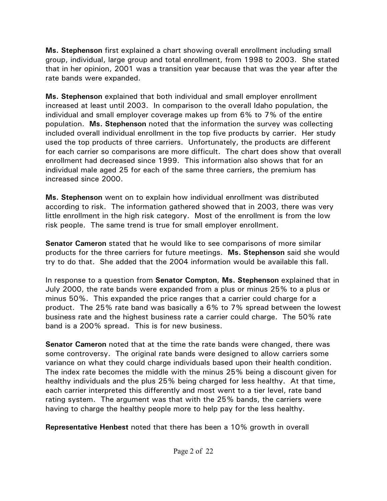**Ms. Stephenson** first explained a chart showing overall enrollment including small group, individual, large group and total enrollment, from 1998 to 2003. She stated that in her opinion, 2001 was a transition year because that was the year after the rate bands were expanded.

**Ms. Stephenson** explained that both individual and small employer enrollment increased at least until 2003. In comparison to the overall Idaho population, the individual and small employer coverage makes up from 6% to 7% of the entire population. **Ms. Stephenson** noted that the information the survey was collecting included overall individual enrollment in the top five products by carrier. Her study used the top products of three carriers. Unfortunately, the products are different for each carrier so comparisons are more difficult. The chart does show that overall enrollment had decreased since 1999. This information also shows that for an individual male aged 25 for each of the same three carriers, the premium has increased since 2000.

**Ms. Stephenson** went on to explain how individual enrollment was distributed according to risk. The information gathered showed that in 2003, there was very little enrollment in the high risk category. Most of the enrollment is from the low risk people. The same trend is true for small employer enrollment.

**Senator Cameron** stated that he would like to see comparisons of more similar products for the three carriers for future meetings. **Ms. Stephenson** said she would try to do that. She added that the 2004 information would be available this fall.

In response to a question from **Senator Compton**, **Ms. Stephenson** explained that in July 2000, the rate bands were expanded from a plus or minus 25% to a plus or minus 50%. This expanded the price ranges that a carrier could charge for a product. The 25% rate band was basically a 6% to 7% spread between the lowest business rate and the highest business rate a carrier could charge. The 50% rate band is a 200% spread. This is for new business.

**Senator Cameron** noted that at the time the rate bands were changed, there was some controversy. The original rate bands were designed to allow carriers some variance on what they could charge individuals based upon their health condition. The index rate becomes the middle with the minus 25% being a discount given for healthy individuals and the plus 25% being charged for less healthy. At that time, each carrier interpreted this differently and most went to a tier level, rate band rating system. The argument was that with the 25% bands, the carriers were having to charge the healthy people more to help pay for the less healthy.

**Representative Henbest** noted that there has been a 10% growth in overall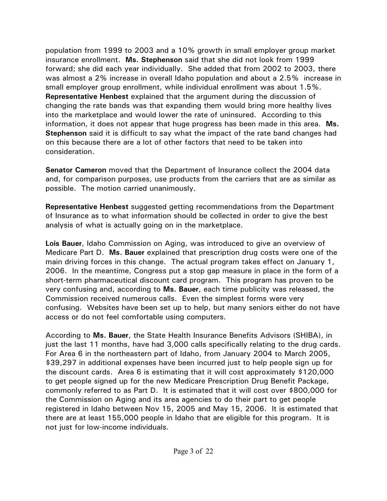population from 1999 to 2003 and a 10% growth in small employer group market insurance enrollment. **Ms. Stephenson** said that she did not look from 1999 forward; she did each year individually. She added that from 2002 to 2003, there was almost a 2% increase in overall Idaho population and about a 2.5% increase in small employer group enrollment, while individual enrollment was about 1.5%. **Representative Henbest** explained that the argument during the discussion of changing the rate bands was that expanding them would bring more healthy lives into the marketplace and would lower the rate of uninsured. According to this information, it does not appear that huge progress has been made in this area. **Ms. Stephenson** said it is difficult to say what the impact of the rate band changes had on this because there are a lot of other factors that need to be taken into consideration.

**Senator Cameron** moved that the Department of Insurance collect the 2004 data and, for comparison purposes, use products from the carriers that are as similar as possible. The motion carried unanimously.

**Representative Henbest** suggested getting recommendations from the Department of Insurance as to what information should be collected in order to give the best analysis of what is actually going on in the marketplace.

**Lois Bauer**, Idaho Commission on Aging, was introduced to give an overview of Medicare Part D. **Ms. Bauer** explained that prescription drug costs were one of the main driving forces in this change. The actual program takes effect on January 1, 2006. In the meantime, Congress put a stop gap measure in place in the form of a short-term pharmaceutical discount card program. This program has proven to be very confusing and, according to **Ms. Bauer**, each time publicity was released, the Commission received numerous calls. Even the simplest forms were very confusing. Websites have been set up to help, but many seniors either do not have access or do not feel comfortable using computers.

According to **Ms. Bauer**, the State Health Insurance Benefits Advisors (SHIBA), in just the last 11 months, have had 3,000 calls specifically relating to the drug cards. For Area 6 in the northeastern part of Idaho, from January 2004 to March 2005, \$39,297 in additional expenses have been incurred just to help people sign up for the discount cards. Area 6 is estimating that it will cost approximately \$120,000 to get people signed up for the new Medicare Prescription Drug Benefit Package, commonly referred to as Part D. It is estimated that it will cost over \$800,000 for the Commission on Aging and its area agencies to do their part to get people registered in Idaho between Nov 15, 2005 and May 15, 2006. It is estimated that there are at least 155,000 people in Idaho that are eligible for this program. It is not just for low-income individuals.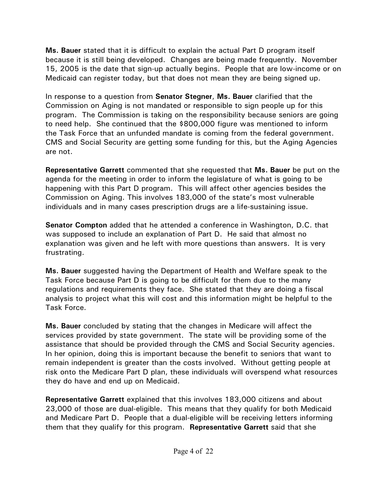**Ms. Bauer** stated that it is difficult to explain the actual Part D program itself because it is still being developed. Changes are being made frequently. November 15, 2005 is the date that sign-up actually begins. People that are low-income or on Medicaid can register today, but that does not mean they are being signed up.

In response to a question from **Senator Stegner**, **Ms. Bauer** clarified that the Commission on Aging is not mandated or responsible to sign people up for this program. The Commission is taking on the responsibility because seniors are going to need help. She continued that the \$800,000 figure was mentioned to inform the Task Force that an unfunded mandate is coming from the federal government. CMS and Social Security are getting some funding for this, but the Aging Agencies are not.

**Representative Garrett** commented that she requested that **Ms. Bauer** be put on the agenda for the meeting in order to inform the legislature of what is going to be happening with this Part D program. This will affect other agencies besides the Commission on Aging. This involves 183,000 of the state's most vulnerable individuals and in many cases prescription drugs are a life-sustaining issue.

**Senator Compton** added that he attended a conference in Washington, D.C. that was supposed to include an explanation of Part D. He said that almost no explanation was given and he left with more questions than answers. It is very frustrating.

**Ms. Bauer** suggested having the Department of Health and Welfare speak to the Task Force because Part D is going to be difficult for them due to the many regulations and requirements they face. She stated that they are doing a fiscal analysis to project what this will cost and this information might be helpful to the Task Force.

**Ms. Bauer** concluded by stating that the changes in Medicare will affect the services provided by state government. The state will be providing some of the assistance that should be provided through the CMS and Social Security agencies. In her opinion, doing this is important because the benefit to seniors that want to remain independent is greater than the costs involved. Without getting people at risk onto the Medicare Part D plan, these individuals will overspend what resources they do have and end up on Medicaid.

**Representative Garrett** explained that this involves 183,000 citizens and about 23,000 of those are dual-eligible. This means that they qualify for both Medicaid and Medicare Part D. People that a dual-eligible will be receiving letters informing them that they qualify for this program. **Representative Garrett** said that she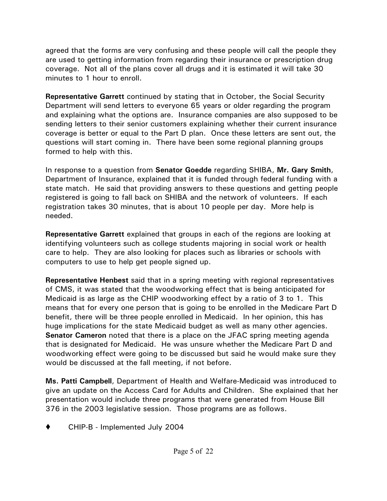agreed that the forms are very confusing and these people will call the people they are used to getting information from regarding their insurance or prescription drug coverage. Not all of the plans cover all drugs and it is estimated it will take 30 minutes to 1 hour to enroll.

**Representative Garrett** continued by stating that in October, the Social Security Department will send letters to everyone 65 years or older regarding the program and explaining what the options are. Insurance companies are also supposed to be sending letters to their senior customers explaining whether their current insurance coverage is better or equal to the Part D plan. Once these letters are sent out, the questions will start coming in. There have been some regional planning groups formed to help with this.

In response to a question from **Senator Goedde** regarding SHIBA, **Mr. Gary Smith**, Department of Insurance, explained that it is funded through federal funding with a state match. He said that providing answers to these questions and getting people registered is going to fall back on SHIBA and the network of volunteers. If each registration takes 30 minutes, that is about 10 people per day. More help is needed.

**Representative Garrett** explained that groups in each of the regions are looking at identifying volunteers such as college students majoring in social work or health care to help. They are also looking for places such as libraries or schools with computers to use to help get people signed up.

**Representative Henbest** said that in a spring meeting with regional representatives of CMS, it was stated that the woodworking effect that is being anticipated for Medicaid is as large as the CHIP woodworking effect by a ratio of 3 to 1. This means that for every one person that is going to be enrolled in the Medicare Part D benefit, there will be three people enrolled in Medicaid. In her opinion, this has huge implications for the state Medicaid budget as well as many other agencies. **Senator Cameron** noted that there is a place on the JFAC spring meeting agenda that is designated for Medicaid. He was unsure whether the Medicare Part D and woodworking effect were going to be discussed but said he would make sure they would be discussed at the fall meeting, if not before.

**Ms. Patti Campbell**, Department of Health and Welfare-Medicaid was introduced to give an update on the Access Card for Adults and Children. She explained that her presentation would include three programs that were generated from House Bill 376 in the 2003 legislative session. Those programs are as follows.

CHIP-B - Implemented July 2004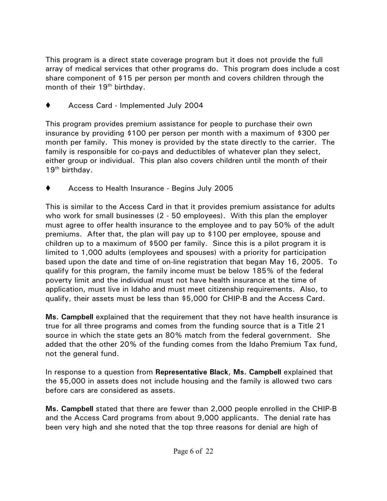This program is a direct state coverage program but it does not provide the full array of medical services that other programs do. This program does include a cost share component of \$15 per person per month and covers children through the month of their  $19<sup>th</sup>$  birthday.

◆ Access Card - Implemented July 2004

This program provides premium assistance for people to purchase their own insurance by providing \$100 per person per month with a maximum of \$300 per month per family. This money is provided by the state directly to the carrier. The family is responsible for co-pays and deductibles of whatever plan they select, either group or individual. This plan also covers children until the month of their  $19<sup>th</sup>$  birthday.

Access to Health Insurance - Begins July 2005

This is similar to the Access Card in that it provides premium assistance for adults who work for small businesses (2 - 50 employees). With this plan the employer must agree to offer health insurance to the employee and to pay 50% of the adult premiums. After that, the plan will pay up to \$100 per employee, spouse and children up to a maximum of \$500 per family. Since this is a pilot program it is limited to 1,000 adults (employees and spouses) with a priority for participation based upon the date and time of on-line registration that began May 16, 2005. To qualify for this program, the family income must be below 185% of the federal poverty limit and the individual must not have health insurance at the time of application, must live in Idaho and must meet citizenship requirements. Also, to qualify, their assets must be less than \$5,000 for CHIP-B and the Access Card.

**Ms. Campbell** explained that the requirement that they not have health insurance is true for all three programs and comes from the funding source that is a Title 21 source in which the state gets an 80% match from the federal government. She added that the other 20% of the funding comes from the Idaho Premium Tax fund, not the general fund.

In response to a question from **Representative Black**, **Ms. Campbell** explained that the \$5,000 in assets does not include housing and the family is allowed two cars before cars are considered as assets.

**Ms. Campbell** stated that there are fewer than 2,000 people enrolled in the CHIP-B and the Access Card programs from about 9,000 applicants. The denial rate has been very high and she noted that the top three reasons for denial are high of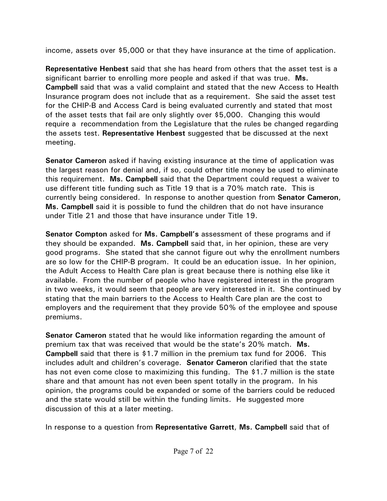income, assets over \$5,000 or that they have insurance at the time of application.

**Representative Henbest** said that she has heard from others that the asset test is a significant barrier to enrolling more people and asked if that was true. **Ms. Campbell** said that was a valid complaint and stated that the new Access to Health Insurance program does not include that as a requirement. She said the asset test for the CHIP-B and Access Card is being evaluated currently and stated that most of the asset tests that fail are only slightly over \$5,000. Changing this would require a recommendation from the Legislature that the rules be changed regarding the assets test. **Representative Henbest** suggested that be discussed at the next meeting.

**Senator Cameron** asked if having existing insurance at the time of application was the largest reason for denial and, if so, could other title money be used to eliminate this requirement. **Ms. Campbell** said that the Department could request a waiver to use different title funding such as Title 19 that is a 70% match rate. This is currently being considered. In response to another question from **Senator Cameron**, **Ms. Campbell** said it is possible to fund the children that do not have insurance under Title 21 and those that have insurance under Title 19.

**Senator Compton** asked for **Ms. Campbell's** assessment of these programs and if they should be expanded. **Ms. Campbell** said that, in her opinion, these are very good programs. She stated that she cannot figure out why the enrollment numbers are so low for the CHIP-B program. It could be an education issue. In her opinion, the Adult Access to Health Care plan is great because there is nothing else like it available. From the number of people who have registered interest in the program in two weeks, it would seem that people are very interested in it. She continued by stating that the main barriers to the Access to Health Care plan are the cost to employers and the requirement that they provide 50% of the employee and spouse premiums.

**Senator Cameron** stated that he would like information regarding the amount of premium tax that was received that would be the state's 20% match. **Ms. Campbell** said that there is \$1.7 million in the premium tax fund for 2006. This includes adult and children's coverage. **Senator Cameron** clarified that the state has not even come close to maximizing this funding. The \$1.7 million is the state share and that amount has not even been spent totally in the program. In his opinion, the programs could be expanded or some of the barriers could be reduced and the state would still be within the funding limits. He suggested more discussion of this at a later meeting.

In response to a question from **Representative Garrett**, **Ms. Campbell** said that of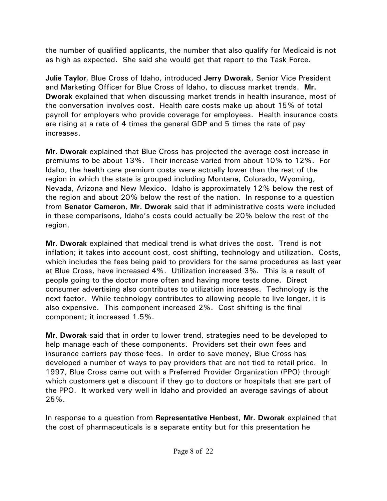the number of qualified applicants, the number that also qualify for Medicaid is not as high as expected. She said she would get that report to the Task Force.

**Julie Taylor**, Blue Cross of Idaho, introduced **Jerry Dworak**, Senior Vice President and Marketing Officer for Blue Cross of Idaho, to discuss market trends. **Mr. Dworak** explained that when discussing market trends in health insurance, most of the conversation involves cost. Health care costs make up about 15% of total payroll for employers who provide coverage for employees. Health insurance costs are rising at a rate of 4 times the general GDP and 5 times the rate of pay increases.

**Mr. Dworak** explained that Blue Cross has projected the average cost increase in premiums to be about 13%. Their increase varied from about 10% to 12%. For Idaho, the health care premium costs were actually lower than the rest of the region in which the state is grouped including Montana, Colorado, Wyoming, Nevada, Arizona and New Mexico. Idaho is approximately 12% below the rest of the region and about 20% below the rest of the nation. In response to a question from **Senator Cameron**, **Mr. Dworak** said that if administrative costs were included in these comparisons, Idaho's costs could actually be 20% below the rest of the region.

**Mr. Dworak** explained that medical trend is what drives the cost. Trend is not inflation; it takes into account cost, cost shifting, technology and utilization. Costs, which includes the fees being paid to providers for the same procedures as last year at Blue Cross, have increased 4%. Utilization increased 3%. This is a result of people going to the doctor more often and having more tests done. Direct consumer advertising also contributes to utilization increases. Technology is the next factor. While technology contributes to allowing people to live longer, it is also expensive. This component increased 2%. Cost shifting is the final component; it increased 1.5%.

**Mr. Dworak** said that in order to lower trend, strategies need to be developed to help manage each of these components. Providers set their own fees and insurance carriers pay those fees. In order to save money, Blue Cross has developed a number of ways to pay providers that are not tied to retail price. In 1997, Blue Cross came out with a Preferred Provider Organization (PPO) through which customers get a discount if they go to doctors or hospitals that are part of the PPO. It worked very well in Idaho and provided an average savings of about 25%.

In response to a question from **Representative Henbest**, **Mr. Dworak** explained that the cost of pharmaceuticals is a separate entity but for this presentation he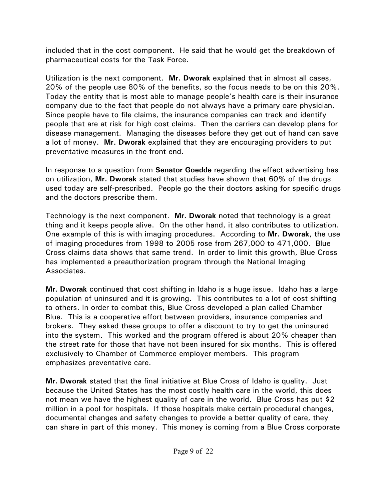included that in the cost component. He said that he would get the breakdown of pharmaceutical costs for the Task Force.

Utilization is the next component. **Mr. Dworak** explained that in almost all cases, 20% of the people use 80% of the benefits, so the focus needs to be on this 20%. Today the entity that is most able to manage people's health care is their insurance company due to the fact that people do not always have a primary care physician. Since people have to file claims, the insurance companies can track and identify people that are at risk for high cost claims. Then the carriers can develop plans for disease management. Managing the diseases before they get out of hand can save a lot of money. **Mr. Dworak** explained that they are encouraging providers to put preventative measures in the front end.

In response to a question from **Senator Goedde** regarding the effect advertising has on utilization, **Mr. Dworak** stated that studies have shown that 60% of the drugs used today are self-prescribed. People go the their doctors asking for specific drugs and the doctors prescribe them.

Technology is the next component. **Mr. Dworak** noted that technology is a great thing and it keeps people alive. On the other hand, it also contributes to utilization. One example of this is with imaging procedures. According to **Mr. Dworak**, the use of imaging procedures from 1998 to 2005 rose from 267,000 to 471,000. Blue Cross claims data shows that same trend. In order to limit this growth, Blue Cross has implemented a preauthorization program through the National Imaging Associates.

**Mr. Dworak** continued that cost shifting in Idaho is a huge issue. Idaho has a large population of uninsured and it is growing. This contributes to a lot of cost shifting to others. In order to combat this, Blue Cross developed a plan called Chamber Blue. This is a cooperative effort between providers, insurance companies and brokers. They asked these groups to offer a discount to try to get the uninsured into the system. This worked and the program offered is about 20% cheaper than the street rate for those that have not been insured for six months. This is offered exclusively to Chamber of Commerce employer members. This program emphasizes preventative care.

**Mr. Dworak** stated that the final initiative at Blue Cross of Idaho is quality. Just because the United States has the most costly health care in the world, this does not mean we have the highest quality of care in the world. Blue Cross has put \$2 million in a pool for hospitals. If those hospitals make certain procedural changes, documental changes and safety changes to provide a better quality of care, they can share in part of this money. This money is coming from a Blue Cross corporate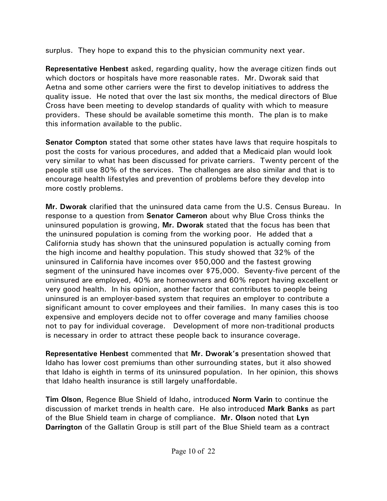surplus. They hope to expand this to the physician community next year.

**Representative Henbest** asked, regarding quality, how the average citizen finds out which doctors or hospitals have more reasonable rates. Mr. Dworak said that Aetna and some other carriers were the first to develop initiatives to address the quality issue. He noted that over the last six months, the medical directors of Blue Cross have been meeting to develop standards of quality with which to measure providers. These should be available sometime this month. The plan is to make this information available to the public.

**Senator Compton** stated that some other states have laws that require hospitals to post the costs for various procedures, and added that a Medicaid plan would look very similar to what has been discussed for private carriers. Twenty percent of the people still use 80% of the services. The challenges are also similar and that is to encourage health lifestyles and prevention of problems before they develop into more costly problems.

**Mr. Dworak** clarified that the uninsured data came from the U.S. Census Bureau. In response to a question from **Senator Cameron** about why Blue Cross thinks the uninsured population is growing, **Mr. Dworak** stated that the focus has been that the uninsured population is coming from the working poor. He added that a California study has shown that the uninsured population is actually coming from the high income and healthy population. This study showed that 32% of the uninsured in California have incomes over \$50,000 and the fastest growing segment of the uninsured have incomes over \$75,000. Seventy-five percent of the uninsured are employed, 40% are homeowners and 60% report having excellent or very good health. In his opinion, another factor that contributes to people being uninsured is an employer-based system that requires an employer to contribute a significant amount to cover employees and their families. In many cases this is too expensive and employers decide not to offer coverage and many families choose not to pay for individual coverage. Development of more non-traditional products is necessary in order to attract these people back to insurance coverage.

**Representative Henbest** commented that **Mr. Dworak's** presentation showed that Idaho has lower cost premiums than other surrounding states, but it also showed that Idaho is eighth in terms of its uninsured population. In her opinion, this shows that Idaho health insurance is still largely unaffordable.

**Tim Olson**, Regence Blue Shield of Idaho, introduced **Norm Varin** to continue the discussion of market trends in health care. He also introduced **Mark Banks** as part of the Blue Shield team in charge of compliance. **Mr. Olson** noted that **Lyn Darrington** of the Gallatin Group is still part of the Blue Shield team as a contract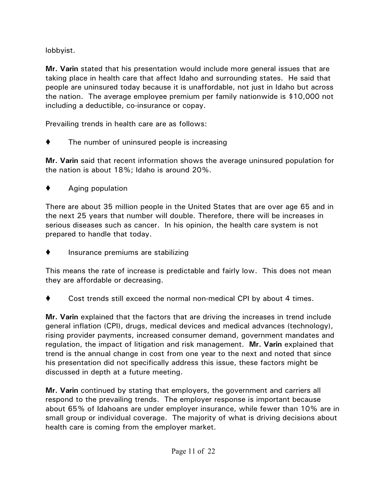lobbyist.

**Mr. Varin** stated that his presentation would include more general issues that are taking place in health care that affect Idaho and surrounding states. He said that people are uninsured today because it is unaffordable, not just in Idaho but across the nation. The average employee premium per family nationwide is \$10,000 not including a deductible, co-insurance or copay.

Prevailing trends in health care are as follows:

The number of uninsured people is increasing

**Mr. Varin** said that recent information shows the average uninsured population for the nation is about 18%; Idaho is around 20%.

Aging population

There are about 35 million people in the United States that are over age 65 and in the next 25 years that number will double. Therefore, there will be increases in serious diseases such as cancer. In his opinion, the health care system is not prepared to handle that today.

 $\blacklozenge$  Insurance premiums are stabilizing

This means the rate of increase is predictable and fairly low. This does not mean they are affordable or decreasing.

Cost trends still exceed the normal non-medical CPI by about 4 times.

**Mr. Varin** explained that the factors that are driving the increases in trend include general inflation (CPI), drugs, medical devices and medical advances (technology), rising provider payments, increased consumer demand, government mandates and regulation, the impact of litigation and risk management. **Mr. Varin** explained that trend is the annual change in cost from one year to the next and noted that since his presentation did not specifically address this issue, these factors might be discussed in depth at a future meeting.

**Mr. Varin** continued by stating that employers, the government and carriers all respond to the prevailing trends. The employer response is important because about 65% of Idahoans are under employer insurance, while fewer than 10% are in small group or individual coverage. The majority of what is driving decisions about health care is coming from the employer market.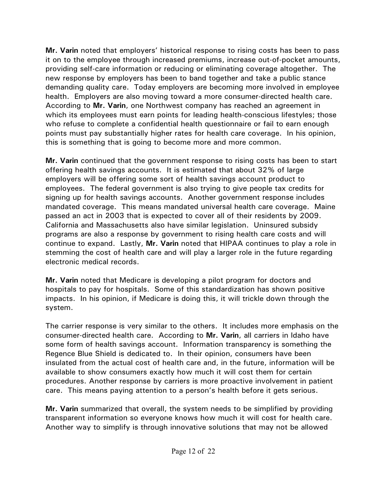**Mr. Varin** noted that employers' historical response to rising costs has been to pass it on to the employee through increased premiums, increase out-of-pocket amounts, providing self-care information or reducing or eliminating coverage altogether. The new response by employers has been to band together and take a public stance demanding quality care. Today employers are becoming more involved in employee health. Employers are also moving toward a more consumer-directed health care. According to **Mr. Varin**, one Northwest company has reached an agreement in which its employees must earn points for leading health-conscious lifestyles; those who refuse to complete a confidential health questionnaire or fail to earn enough points must pay substantially higher rates for health care coverage. In his opinion, this is something that is going to become more and more common.

**Mr. Varin** continued that the government response to rising costs has been to start offering health savings accounts. It is estimated that about 32% of large employers will be offering some sort of health savings account product to employees. The federal government is also trying to give people tax credits for signing up for health savings accounts. Another government response includes mandated coverage. This means mandated universal health care coverage. Maine passed an act in 2003 that is expected to cover all of their residents by 2009. California and Massachusetts also have similar legislation. Uninsured subsidy programs are also a response by government to rising health care costs and will continue to expand. Lastly, **Mr. Varin** noted that HIPAA continues to play a role in stemming the cost of health care and will play a larger role in the future regarding electronic medical records.

**Mr. Varin** noted that Medicare is developing a pilot program for doctors and hospitals to pay for hospitals. Some of this standardization has shown positive impacts. In his opinion, if Medicare is doing this, it will trickle down through the system.

The carrier response is very similar to the others. It includes more emphasis on the consumer-directed health care. According to **Mr. Varin**, all carriers in Idaho have some form of health savings account. Information transparency is something the Regence Blue Shield is dedicated to. In their opinion, consumers have been insulated from the actual cost of health care and, in the future, information will be available to show consumers exactly how much it will cost them for certain procedures. Another response by carriers is more proactive involvement in patient care. This means paying attention to a person's health before it gets serious.

**Mr. Varin** summarized that overall, the system needs to be simplified by providing transparent information so everyone knows how much it will cost for health care. Another way to simplify is through innovative solutions that may not be allowed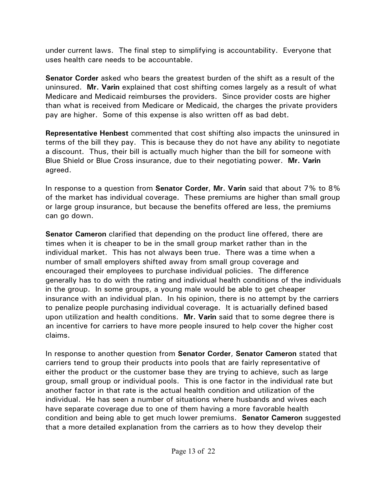under current laws. The final step to simplifying is accountability. Everyone that uses health care needs to be accountable.

**Senator Corder** asked who bears the greatest burden of the shift as a result of the uninsured. **Mr. Varin** explained that cost shifting comes largely as a result of what Medicare and Medicaid reimburses the providers. Since provider costs are higher than what is received from Medicare or Medicaid, the charges the private providers pay are higher. Some of this expense is also written off as bad debt.

**Representative Henbest** commented that cost shifting also impacts the uninsured in terms of the bill they pay. This is because they do not have any ability to negotiate a discount. Thus, their bill is actually much higher than the bill for someone with Blue Shield or Blue Cross insurance, due to their negotiating power. **Mr. Varin** agreed.

In response to a question from **Senator Corder**, **Mr. Varin** said that about 7% to 8% of the market has individual coverage. These premiums are higher than small group or large group insurance, but because the benefits offered are less, the premiums can go down.

**Senator Cameron** clarified that depending on the product line offered, there are times when it is cheaper to be in the small group market rather than in the individual market. This has not always been true. There was a time when a number of small employers shifted away from small group coverage and encouraged their employees to purchase individual policies. The difference generally has to do with the rating and individual health conditions of the individuals in the group. In some groups, a young male would be able to get cheaper insurance with an individual plan. In his opinion, there is no attempt by the carriers to penalize people purchasing individual coverage. It is actuarially defined based upon utilization and health conditions. **Mr. Varin** said that to some degree there is an incentive for carriers to have more people insured to help cover the higher cost claims.

In response to another question from **Senator Corder**, **Senator Cameron** stated that carriers tend to group their products into pools that are fairly representative of either the product or the customer base they are trying to achieve, such as large group, small group or individual pools. This is one factor in the individual rate but another factor in that rate is the actual health condition and utilization of the individual. He has seen a number of situations where husbands and wives each have separate coverage due to one of them having a more favorable health condition and being able to get much lower premiums. **Senator Cameron** suggested that a more detailed explanation from the carriers as to how they develop their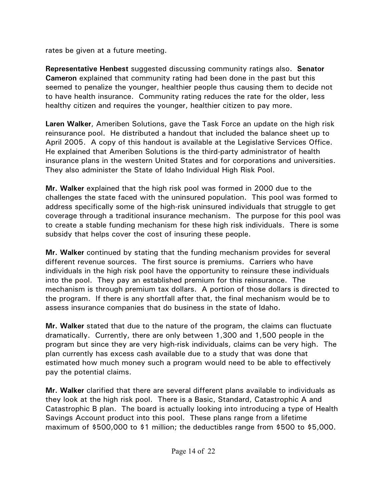rates be given at a future meeting.

**Representative Henbest** suggested discussing community ratings also. **Senator Cameron** explained that community rating had been done in the past but this seemed to penalize the younger, healthier people thus causing them to decide not to have health insurance. Community rating reduces the rate for the older, less healthy citizen and requires the younger, healthier citizen to pay more.

**Laren Walker**, Ameriben Solutions, gave the Task Force an update on the high risk reinsurance pool. He distributed a handout that included the balance sheet up to April 2005. A copy of this handout is available at the Legislative Services Office. He explained that Ameriben Solutions is the third-party administrator of health insurance plans in the western United States and for corporations and universities. They also administer the State of Idaho Individual High Risk Pool.

**Mr. Walker** explained that the high risk pool was formed in 2000 due to the challenges the state faced with the uninsured population. This pool was formed to address specifically some of the high-risk uninsured individuals that struggle to get coverage through a traditional insurance mechanism. The purpose for this pool was to create a stable funding mechanism for these high risk individuals. There is some subsidy that helps cover the cost of insuring these people.

**Mr. Walker** continued by stating that the funding mechanism provides for several different revenue sources. The first source is premiums. Carriers who have individuals in the high risk pool have the opportunity to reinsure these individuals into the pool. They pay an established premium for this reinsurance. The mechanism is through premium tax dollars. A portion of those dollars is directed to the program. If there is any shortfall after that, the final mechanism would be to assess insurance companies that do business in the state of Idaho.

**Mr. Walker** stated that due to the nature of the program, the claims can fluctuate dramatically. Currently, there are only between 1,300 and 1,500 people in the program but since they are very high-risk individuals, claims can be very high. The plan currently has excess cash available due to a study that was done that estimated how much money such a program would need to be able to effectively pay the potential claims.

**Mr. Walker** clarified that there are several different plans available to individuals as they look at the high risk pool. There is a Basic, Standard, Catastrophic A and Catastrophic B plan. The board is actually looking into introducing a type of Health Savings Account product into this pool. These plans range from a lifetime maximum of \$500,000 to \$1 million; the deductibles range from \$500 to \$5,000.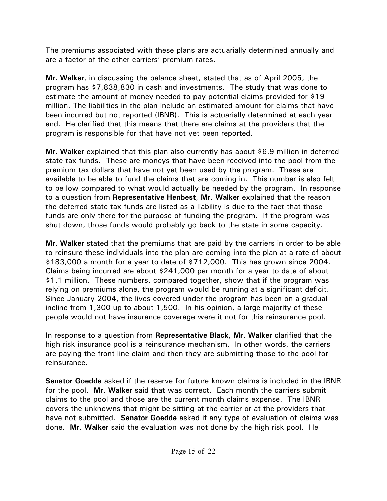The premiums associated with these plans are actuarially determined annually and are a factor of the other carriers' premium rates.

**Mr. Walker**, in discussing the balance sheet, stated that as of April 2005, the program has \$7,838,830 in cash and investments. The study that was done to estimate the amount of money needed to pay potential claims provided for \$19 million. The liabilities in the plan include an estimated amount for claims that have been incurred but not reported (IBNR). This is actuarially determined at each year end. He clarified that this means that there are claims at the providers that the program is responsible for that have not yet been reported.

**Mr. Walker** explained that this plan also currently has about \$6.9 million in deferred state tax funds. These are moneys that have been received into the pool from the premium tax dollars that have not yet been used by the program. These are available to be able to fund the claims that are coming in. This number is also felt to be low compared to what would actually be needed by the program. In response to a question from **Representative Henbest**, **Mr. Walker** explained that the reason the deferred state tax funds are listed as a liability is due to the fact that those funds are only there for the purpose of funding the program. If the program was shut down, those funds would probably go back to the state in some capacity.

**Mr. Walker** stated that the premiums that are paid by the carriers in order to be able to reinsure these individuals into the plan are coming into the plan at a rate of about \$183,000 a month for a year to date of \$712,000. This has grown since 2004. Claims being incurred are about \$241,000 per month for a year to date of about \$1.1 million. These numbers, compared together, show that if the program was relying on premiums alone, the program would be running at a significant deficit. Since January 2004, the lives covered under the program has been on a gradual incline from 1,300 up to about 1,500. In his opinion, a large majority of these people would not have insurance coverage were it not for this reinsurance pool.

In response to a question from **Representative Black**, **Mr. Walker** clarified that the high risk insurance pool is a reinsurance mechanism. In other words, the carriers are paying the front line claim and then they are submitting those to the pool for reinsurance.

**Senator Goedde** asked if the reserve for future known claims is included in the IBNR for the pool. **Mr. Walker** said that was correct. Each month the carriers submit claims to the pool and those are the current month claims expense. The IBNR covers the unknowns that might be sitting at the carrier or at the providers that have not submitted. **Senator Goedde** asked if any type of evaluation of claims was done. **Mr. Walker** said the evaluation was not done by the high risk pool. He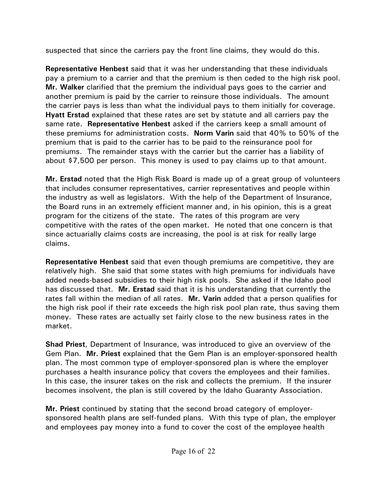suspected that since the carriers pay the front line claims, they would do this.

**Representative Henbest** said that it was her understanding that these individuals pay a premium to a carrier and that the premium is then ceded to the high risk pool. **Mr. Walker** clarified that the premium the individual pays goes to the carrier and another premium is paid by the carrier to reinsure those individuals. The amount the carrier pays is less than what the individual pays to them initially for coverage. **Hyatt Erstad** explained that these rates are set by statute and all carriers pay the same rate. **Representative Henbest** asked if the carriers keep a small amount of these premiums for administration costs. **Norm Varin** said that 40% to 50% of the premium that is paid to the carrier has to be paid to the reinsurance pool for premiums. The remainder stays with the carrier but the carrier has a liability of about \$7,500 per person. This money is used to pay claims up to that amount.

**Mr. Erstad** noted that the High Risk Board is made up of a great group of volunteers that includes consumer representatives, carrier representatives and people within the industry as well as legislators. With the help of the Department of Insurance, the Board runs in an extremely efficient manner and, in his opinion, this is a great program for the citizens of the state. The rates of this program are very competitive with the rates of the open market. He noted that one concern is that since actuarially claims costs are increasing, the pool is at risk for really large claims.

**Representative Henbest** said that even though premiums are competitive, they are relatively high. She said that some states with high premiums for individuals have added needs-based subsidies to their high risk pools. She asked if the Idaho pool has discussed that. **Mr. Erstad** said that it is his understanding that currently the rates fall within the median of all rates. **Mr. Varin** added that a person qualifies for the high risk pool if their rate exceeds the high risk pool plan rate, thus saving them money. These rates are actually set fairly close to the new business rates in the market.

**Shad Priest**, Department of Insurance, was introduced to give an overview of the Gem Plan. **Mr. Priest** explained that the Gem Plan is an employer-sponsored health plan. The most common type of employer-sponsored plan is where the employer purchases a health insurance policy that covers the employees and their families. In this case, the insurer takes on the risk and collects the premium. If the insurer becomes insolvent, the plan is still covered by the Idaho Guaranty Association.

**Mr. Priest** continued by stating that the second broad category of employersponsored health plans are self-funded plans. With this type of plan, the employer and employees pay money into a fund to cover the cost of the employee health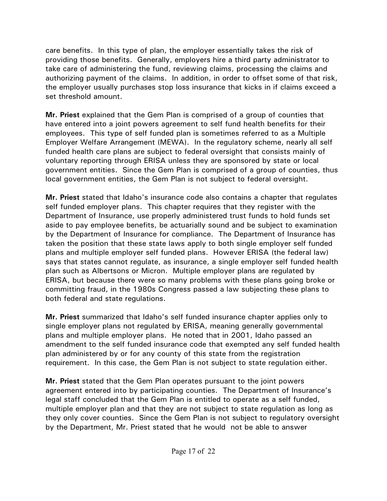care benefits. In this type of plan, the employer essentially takes the risk of providing those benefits. Generally, employers hire a third party administrator to take care of administering the fund, reviewing claims, processing the claims and authorizing payment of the claims. In addition, in order to offset some of that risk, the employer usually purchases stop loss insurance that kicks in if claims exceed a set threshold amount.

**Mr. Priest** explained that the Gem Plan is comprised of a group of counties that have entered into a joint powers agreement to self fund health benefits for their employees. This type of self funded plan is sometimes referred to as a Multiple Employer Welfare Arrangement (MEWA). In the regulatory scheme, nearly all self funded health care plans are subject to federal oversight that consists mainly of voluntary reporting through ERISA unless they are sponsored by state or local government entities. Since the Gem Plan is comprised of a group of counties, thus local government entities, the Gem Plan is not subject to federal oversight.

**Mr. Priest** stated that Idaho's insurance code also contains a chapter that regulates self funded employer plans. This chapter requires that they register with the Department of Insurance, use properly administered trust funds to hold funds set aside to pay employee benefits, be actuarially sound and be subject to examination by the Department of Insurance for compliance. The Department of Insurance has taken the position that these state laws apply to both single employer self funded plans and multiple employer self funded plans. However ERISA (the federal law) says that states cannot regulate, as insurance, a single employer self funded health plan such as Albertsons or Micron. Multiple employer plans are regulated by ERISA, but because there were so many problems with these plans going broke or committing fraud, in the 1980s Congress passed a law subjecting these plans to both federal and state regulations.

**Mr. Priest** summarized that Idaho's self funded insurance chapter applies only to single employer plans not regulated by ERISA, meaning generally governmental plans and multiple employer plans. He noted that in 2001, Idaho passed an amendment to the self funded insurance code that exempted any self funded health plan administered by or for any county of this state from the registration requirement. In this case, the Gem Plan is not subject to state regulation either.

**Mr. Priest** stated that the Gem Plan operates pursuant to the joint powers agreement entered into by participating counties. The Department of Insurance's legal staff concluded that the Gem Plan is entitled to operate as a self funded, multiple employer plan and that they are not subject to state regulation as long as they only cover counties. Since the Gem Plan is not subject to regulatory oversight by the Department, Mr. Priest stated that he would not be able to answer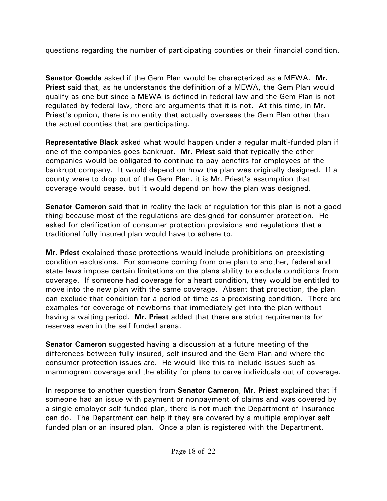questions regarding the number of participating counties or their financial condition.

**Senator Goedde** asked if the Gem Plan would be characterized as a MEWA. **Mr. Priest** said that, as he understands the definition of a MEWA, the Gem Plan would qualify as one but since a MEWA is defined in federal law and the Gem Plan is not regulated by federal law, there are arguments that it is not. At this time, in Mr. Priest's opnion, there is no entity that actually oversees the Gem Plan other than the actual counties that are participating.

**Representative Black** asked what would happen under a regular multi-funded plan if one of the companies goes bankrupt. **Mr. Priest** said that typically the other companies would be obligated to continue to pay benefits for employees of the bankrupt company. It would depend on how the plan was originally designed. If a county were to drop out of the Gem Plan, it is Mr. Priest's assumption that coverage would cease, but it would depend on how the plan was designed.

**Senator Cameron** said that in reality the lack of regulation for this plan is not a good thing because most of the regulations are designed for consumer protection. He asked for clarification of consumer protection provisions and regulations that a traditional fully insured plan would have to adhere to.

**Mr. Priest** explained those protections would include prohibitions on preexisting condition exclusions. For someone coming from one plan to another, federal and state laws impose certain limitations on the plans ability to exclude conditions from coverage. If someone had coverage for a heart condition, they would be entitled to move into the new plan with the same coverage. Absent that protection, the plan can exclude that condition for a period of time as a preexisting condition. There are examples for coverage of newborns that immediately get into the plan without having a waiting period. **Mr. Priest** added that there are strict requirements for reserves even in the self funded arena.

**Senator Cameron** suggested having a discussion at a future meeting of the differences between fully insured, self insured and the Gem Plan and where the consumer protection issues are. He would like this to include issues such as mammogram coverage and the ability for plans to carve individuals out of coverage.

In response to another question from **Senator Cameron**, **Mr. Priest** explained that if someone had an issue with payment or nonpayment of claims and was covered by a single employer self funded plan, there is not much the Department of Insurance can do. The Department can help if they are covered by a multiple employer self funded plan or an insured plan. Once a plan is registered with the Department,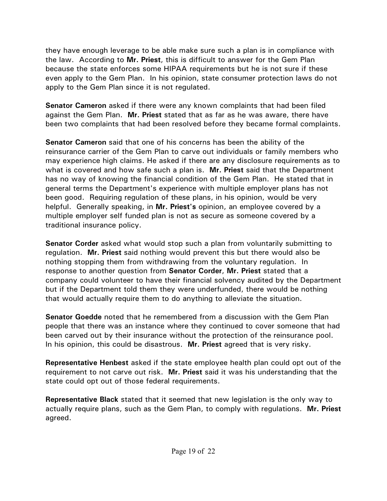they have enough leverage to be able make sure such a plan is in compliance with the law. According to **Mr. Priest**, this is difficult to answer for the Gem Plan because the state enforces some HIPAA requirements but he is not sure if these even apply to the Gem Plan. In his opinion, state consumer protection laws do not apply to the Gem Plan since it is not regulated.

**Senator Cameron** asked if there were any known complaints that had been filed against the Gem Plan. **Mr. Priest** stated that as far as he was aware, there have been two complaints that had been resolved before they became formal complaints.

**Senator Cameron** said that one of his concerns has been the ability of the reinsurance carrier of the Gem Plan to carve out individuals or family members who may experience high claims. He asked if there are any disclosure requirements as to what is covered and how safe such a plan is. **Mr. Priest** said that the Department has no way of knowing the financial condition of the Gem Plan. He stated that in general terms the Department's experience with multiple employer plans has not been good. Requiring regulation of these plans, in his opinion, would be very helpful. Generally speaking, in **Mr. Priest's** opinion, an employee covered by a multiple employer self funded plan is not as secure as someone covered by a traditional insurance policy.

**Senator Corder** asked what would stop such a plan from voluntarily submitting to regulation. **Mr. Priest** said nothing would prevent this but there would also be nothing stopping them from withdrawing from the voluntary regulation. In response to another question from **Senator Corder**, **Mr. Priest** stated that a company could volunteer to have their financial solvency audited by the Department but if the Department told them they were underfunded, there would be nothing that would actually require them to do anything to alleviate the situation.

**Senator Goedde** noted that he remembered from a discussion with the Gem Plan people that there was an instance where they continued to cover someone that had been carved out by their insurance without the protection of the reinsurance pool. In his opinion, this could be disastrous. **Mr. Priest** agreed that is very risky.

**Representative Henbest** asked if the state employee health plan could opt out of the requirement to not carve out risk. **Mr. Priest** said it was his understanding that the state could opt out of those federal requirements.

**Representative Black** stated that it seemed that new legislation is the only way to actually require plans, such as the Gem Plan, to comply with regulations. **Mr. Priest** agreed.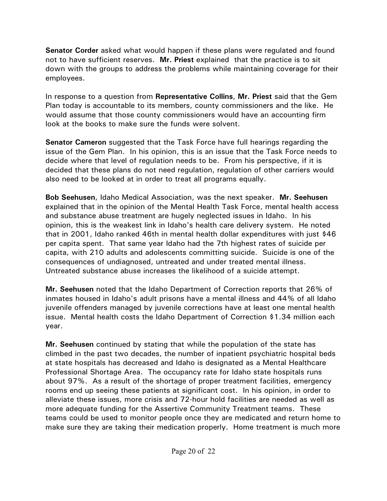**Senator Corder** asked what would happen if these plans were regulated and found not to have sufficient reserves. **Mr. Priest** explained that the practice is to sit down with the groups to address the problems while maintaining coverage for their employees.

In response to a question from **Representative Collins**, **Mr. Priest** said that the Gem Plan today is accountable to its members, county commissioners and the like. He would assume that those county commissioners would have an accounting firm look at the books to make sure the funds were solvent.

**Senator Cameron** suggested that the Task Force have full hearings regarding the issue of the Gem Plan. In his opinion, this is an issue that the Task Force needs to decide where that level of regulation needs to be. From his perspective, if it is decided that these plans do not need regulation, regulation of other carriers would also need to be looked at in order to treat all programs equally.

**Bob Seehusen**, Idaho Medical Association, was the next speaker. **Mr. Seehusen** explained that in the opinion of the Mental Health Task Force, mental health access and substance abuse treatment are hugely neglected issues in Idaho. In his opinion, this is the weakest link in Idaho's health care delivery system. He noted that in 2001, Idaho ranked 46th in mental health dollar expenditures with just \$46 per capita spent. That same year Idaho had the 7th highest rates of suicide per capita, with 210 adults and adolescents committing suicide. Suicide is one of the consequences of undiagnosed, untreated and under treated mental illness. Untreated substance abuse increases the likelihood of a suicide attempt.

**Mr. Seehusen** noted that the Idaho Department of Correction reports that 26% of inmates housed in Idaho's adult prisons have a mental illness and 44% of all Idaho juvenile offenders managed by juvenile corrections have at least one mental health issue. Mental health costs the Idaho Department of Correction \$1.34 million each year.

**Mr. Seehusen** continued by stating that while the population of the state has climbed in the past two decades, the number of inpatient psychiatric hospital beds at state hospitals has decreased and Idaho is designated as a Mental Healthcare Professional Shortage Area. The occupancy rate for Idaho state hospitals runs about 97%. As a result of the shortage of proper treatment facilities, emergency rooms end up seeing these patients at significant cost. In his opinion, in order to alleviate these issues, more crisis and 72-hour hold facilities are needed as well as more adequate funding for the Assertive Community Treatment teams. These teams could be used to monitor people once they are medicated and return home to make sure they are taking their medication properly. Home treatment is much more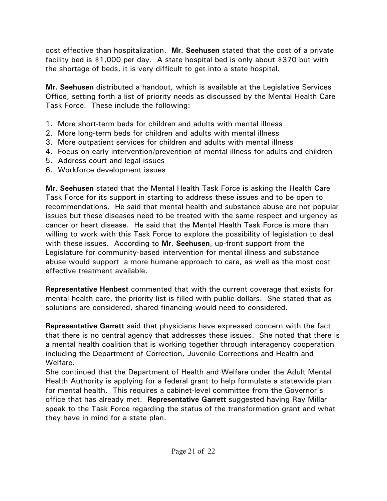cost effective than hospitalization. **Mr. Seehusen** stated that the cost of a private facility bed is \$1,000 per day. A state hospital bed is only about \$370 but with the shortage of beds, it is very difficult to get into a state hospital.

**Mr. Seehusen** distributed a handout, which is available at the Legislative Services Office, setting forth a list of priority needs as discussed by the Mental Health Care Task Force. These include the following:

- 1. More short-term beds for children and adults with mental illness
- 2. More long-term beds for children and adults with mental illness
- 3. More outpatient services for children and adults with mental illness
- 4. Focus on early intervention/prevention of mental illness for adults and children
- 5. Address court and legal issues
- 6. Workforce development issues

**Mr. Seehusen** stated that the Mental Health Task Force is asking the Health Care Task Force for its support in starting to address these issues and to be open to recommendations. He said that mental health and substance abuse are not popular issues but these diseases need to be treated with the same respect and urgency as cancer or heart disease. He said that the Mental Health Task Force is more than willing to work with this Task Force to explore the possibility of legislation to deal with these issues. According to **Mr. Seehusen**, up-front support from the Legislature for community-based intervention for mental illness and substance abuse would support a more humane approach to care, as well as the most cost effective treatment available.

**Representative Henbest** commented that with the current coverage that exists for mental health care, the priority list is filled with public dollars. She stated that as solutions are considered, shared financing would need to considered.

**Representative Garrett** said that physicians have expressed concern with the fact that there is no central agency that addresses these issues. She noted that there is a mental health coalition that is working together through interagency cooperation including the Department of Correction, Juvenile Corrections and Health and Welfare.

She continued that the Department of Health and Welfare under the Adult Mental Health Authority is applying for a federal grant to help formulate a statewide plan for mental health. This requires a cabinet-level committee from the Governor's office that has already met. **Representative Garrett** suggested having Ray Millar speak to the Task Force regarding the status of the transformation grant and what they have in mind for a state plan.